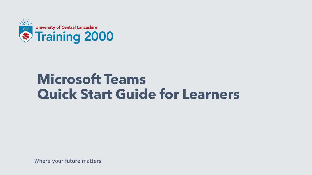

### **Microsoft Teams Quick Start Guide for Learners**

Where your future matters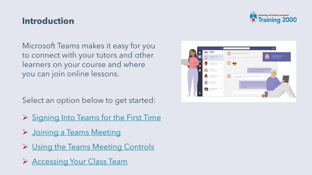#### **Introduction**

Microsoft Teams makes it easy for you to connect with your tutors and other learners on your course and where you can join online lessons.

Select an option below to get started:

- ➢ [Signing Into Teams for the First Time](#page-3-0)
- ➢ [Joining a Teams Meeting](#page-7-0)
- ➢ [Using the Teams Meeting Controls](#page-14-0)
- ➢ [Accessing Your Class Team](#page-16-0)



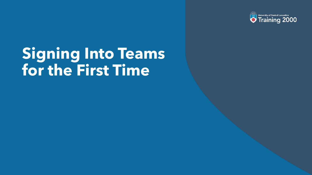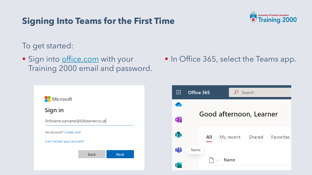

<span id="page-3-0"></span>To get started:

- **E** Sign into [office.com](https://www.office.com/) with your Training 2000 email and password.
- In Office 365, select the Teams app.

Microsoft Sign in firstname.surname@t2klearner.co.uk No account? Create one! Can't access your account? **Back Next** 

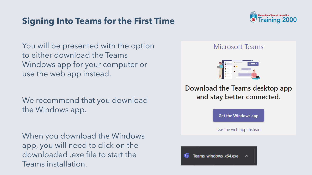

<span id="page-4-0"></span>You will be presented with the option to either download the Teams Windows app for your computer or use the web app instead.

We recommend that you download the Windows app.

When you download the Windows app, you will need to click on the downloaded .exe file to start the Teams installation.

#### **Microsoft Teams**



Download the Teams desktop app and stay better connected.

**Get the Windows app** 

Use the web app instead

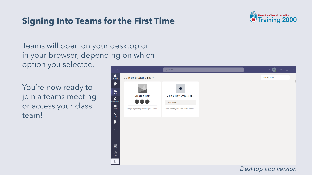

Teams will open on your desktop or in your browser, depending on which option you selected.

You're now ready to join a teams meeting or access your class team!



#### *Desktop app version*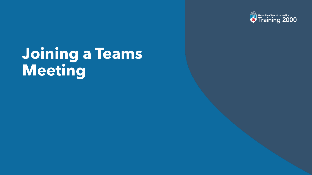

## **Joining a Teams Meeting**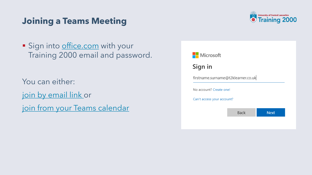#### <span id="page-7-0"></span>**Joining a Teams Meeting**



**E** Sign into **[office.com](https://www.office.com/)** with your Training 2000 email and password.

You can either:

[join by email link](#page-8-0) or

[join from your Teams calendar](#page-10-0)

| Microsoft                          |             |             |
|------------------------------------|-------------|-------------|
| Sign in                            |             |             |
| firstname.surname@t2klearner.co.uk |             |             |
| No account? Create one!            |             |             |
| Can't access your account?         |             |             |
|                                    | <b>Back</b> | <b>Next</b> |
|                                    |             |             |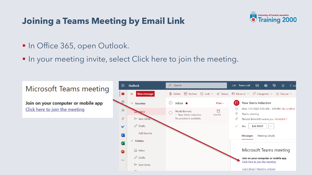#### <span id="page-8-0"></span>**Joining a Teams Meeting by Email Link**



- In Office 365, open Outlook.
- **IF In your meeting invite, select Click here to join the meeting.**

#### Microsoft Teams meeting

Join on your computer or mobile app Click here to join the meeting

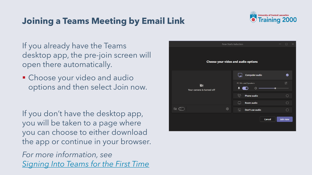#### **Joining a Teams Meeting by Email Link**



If you already have the Teams desktop app, the pre-join screen will open there automatically.

■ Choose your video and audio options and then select Join now.

If you don't have the desktop app, you will be taken to a page where you can choose to either download the app or continue in your browser.

*For more information, see [Signing Into Teams for the First Time](#page-4-0)* 

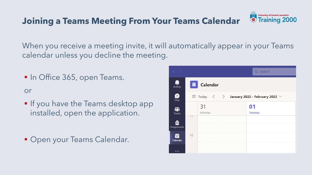#### <span id="page-10-0"></span>**Joining a Teams Meeting From Your Teams Calendar**



When you receive a meeting invite, it will automatically appear in your Teams calendar unless you decline the meeting.

**In Office 365, open Teams.** 

or

- **If you have the Teams desktop app** installed, open the application.
- **Open your Teams Calendar.**

| $\rightarrow$           |                |              | Q Search                                                                                        |
|-------------------------|----------------|--------------|-------------------------------------------------------------------------------------------------|
| ger i<br>Activity       | ▦              | Calendar     |                                                                                                 |
| ₿<br>Chat               |                |              | $\quad\quad\quad\Box$ Today $\quad\langle\quad\rangle\quad$ January 2022 - February 2022 $\lor$ |
| iŝi<br><b>Teams</b>     |                | 31<br>Monday | 01<br><b>Tuesday</b>                                                                            |
| ≙<br><b>Assignments</b> | $\overline{1}$ |              |                                                                                                 |
| 前<br>Calendar           | 12             |              |                                                                                                 |
| $\cdots$                |                |              |                                                                                                 |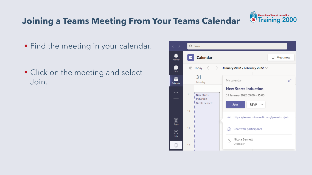#### **Joining a Teams Meeting From Your Teams Calendar**

- Find the meeting in your calendar.
- Click on the meeting and select Join.



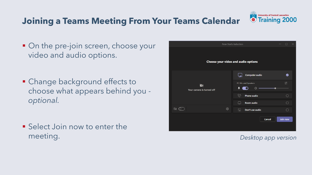

### **Joining a Teams Meeting From Your Teams Calendar**

- On the pre-join screen, choose your video and audio options.
- Change background effects to choose what appears behind you *optional.*
- Select Join now to enter the meeting. *Desktop app version*

| New Starts Induction                | П<br>$\times$                                         |  |  |  |
|-------------------------------------|-------------------------------------------------------|--|--|--|
| Choose your video and audio options |                                                       |  |  |  |
|                                     | Computer audio<br>◙                                   |  |  |  |
| N<br>Your camera is turned off      | ⊸<br>PC Mic and Speakers<br>$\sim$<br>$\bullet$<br>⊲৷ |  |  |  |
|                                     | 62<br><b>Phone audio</b><br>∩                         |  |  |  |
|                                     | Room audio<br>∩<br>$\left  \right $                   |  |  |  |
| భ్ర<br>$\boxtimes$ $\oslash$        | $\sum$<br>Don't use audio<br>∩                        |  |  |  |
|                                     | Join now<br>Cancel                                    |  |  |  |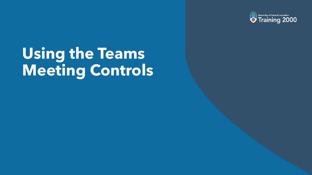

## **Using the Teams Meeting Controls**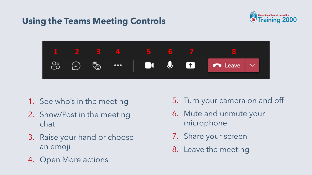### <span id="page-14-0"></span>**Using the Teams Meeting Controls**





- 1. See who's in the meeting
- 2. Show/Post in the meeting chat
- 3. Raise your hand or choose an emoji
- 4. Open More actions
- 5. Turn your camera on and off
- 6. Mute and unmute your microphone
- 7. Share your screen
- 8. Leave the meeting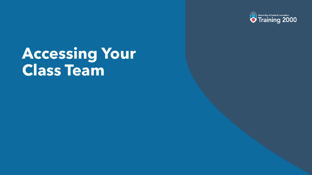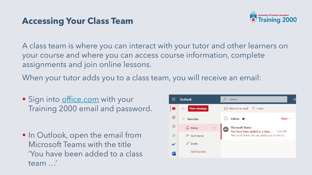

<span id="page-16-0"></span>A class team is where you can interact with your tutor and other learners on your course and where you can access course information, complete assignments and join online lessons.

When your tutor adds you to a class team, you will receive an email:

- Sign into [office.com](https://www.office.com/) with your Training 2000 email and password.
- In Outlook, open the email from Microsoft Teams with the title 'You have been added to a class team …'

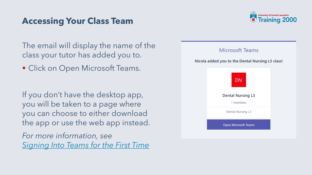

The email will display the name of the class your tutor has added you to.

■ Click on Open Microsoft Teams.

If you don't have the desktop app, you will be taken to a page where you can choose to either download the app or use the web app instead.

*For more information, see [Signing Into Teams for the First Time](#page-4-0)*

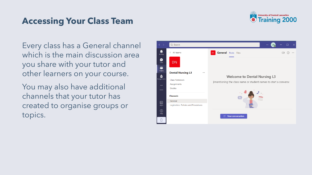

Every class has a General channel which is the main discussion area you share with your tutor and other learners on your course.

You may also have additional channels that your tutor has created to organise groups or topics.

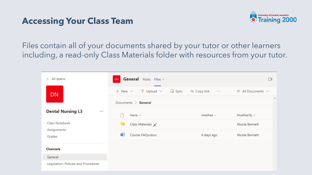

Files contain all of your documents shared by your tutor or other learners including, a read-only Class Materials folder with resources from your tutor.

| All teams<br>く                       | General Posts Files v<br>DN                                 |                           |                               |
|--------------------------------------|-------------------------------------------------------------|---------------------------|-------------------------------|
| <b>DN</b>                            | + New $\vee$ $\overline{\uparrow}$ Upload $\vee$<br>(급 Sync | © Copy link<br>$\sim 100$ | $\equiv$ All Documents $\vee$ |
|                                      | Documents $\ge$ General                                     |                           |                               |
| <b>Dental Nursing L3</b><br>$\cdots$ | Name $\vee$                                                 | Modified $\smile$         | Modified By $\sim$            |
| Class Notebook                       | ಾ<br>Class Materials X                                      |                           | Nicola Bennett                |
| Assignments<br>Grades                | 看<br>Course FAQs.docx                                       | 6 days ago                | Nicola Bennett                |
| <b>Channels</b>                      |                                                             |                           |                               |
| General                              |                                                             |                           |                               |
| Legislation, Policies and Procedures |                                                             |                           |                               |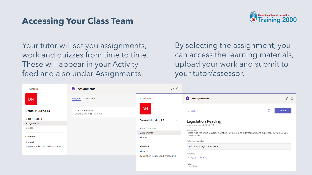

Your tutor will set you assignments, work and quizzes from time to time. These will appear in your Activity feed and also under Assignments.

By selecting the assignment, you can access the learning materials, upload your work and submit to your tutor/assessor.

| < All teams                          | 8<br>Assignments                                | ∠ <sup>7</sup> C                     |                                                                                                                           |
|--------------------------------------|-------------------------------------------------|--------------------------------------|---------------------------------------------------------------------------------------------------------------------------|
| DN.                                  | Completed<br><b>Assigned</b>                    | < All teams                          | <b>Assignments</b><br>∠ <sup>7</sup> С                                                                                    |
| <b>Dental Nursing L3</b><br>$\cdots$ | Legislation Reading<br>Due tomorrow at 11:59 PM | <b>DN</b>                            | Turn in<br>$\langle$ Back                                                                                                 |
| Class Notebook<br>Assignments        |                                                 | <b>Dental Nursing L3</b><br>$\cdots$ | <b>Legislation Reading</b>                                                                                                |
| Grades                               |                                                 | <b>Class Notebook</b>                | Due tomorrow at 11:59 PM<br>Instructions                                                                                  |
| <b>Channels</b>                      |                                                 | Assignments<br>Grades                | Please read the latest legislation relating to your role as a dental nurse and submit the key points you<br>have learned. |
| General                              |                                                 |                                      | Reference materials                                                                                                       |
| Legislation, Policies and Procedures |                                                 | <b>Channels</b>                      | dental-legislations.docx<br>$\cdots$                                                                                      |
|                                      |                                                 | General                              | My work                                                                                                                   |
|                                      |                                                 | Legislation, Policies and Procedures | $\emptyset$ Attach $+$ New                                                                                                |
|                                      |                                                 |                                      | Points<br>No points                                                                                                       |